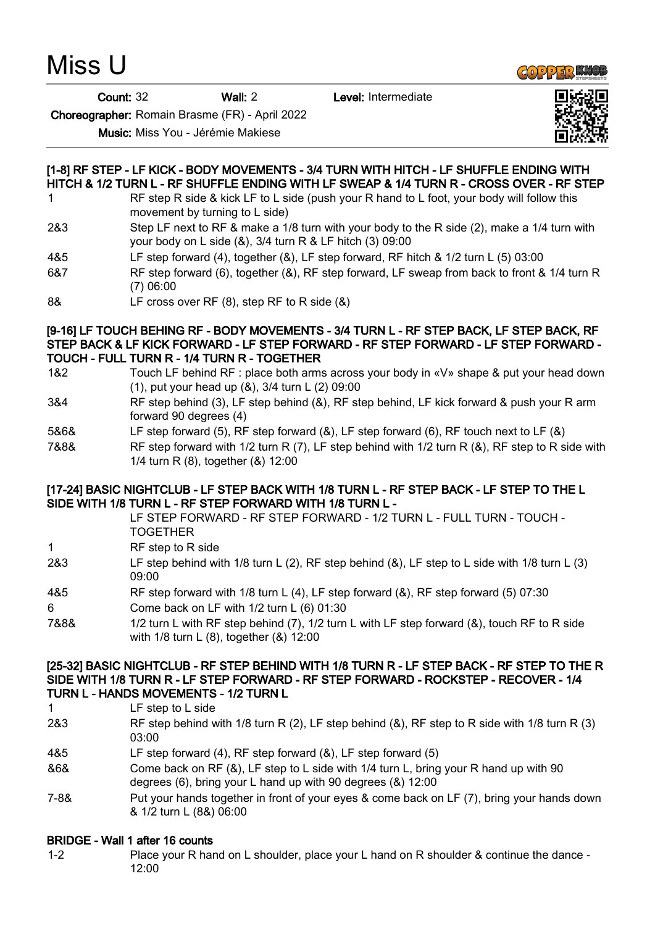Miss U

**GOPPER KNOL** 

Count: 32 Wall: 2 Level: Intermediate



Choreographer: Romain Brasme (FR) - April 2022

Music: Miss You - Jérémie Makiese

# [1-8] RF STEP - LF KICK - BODY MOVEMENTS - 3/4 TURN WITH HITCH - LF SHUFFLE ENDING WITH HITCH & 1/2 TURN L - RF SHUFFLE ENDING WITH LF SWEAP & 1/4 TURN R - CROSS OVER - RF STEP

- 1 RF step R side & kick LF to L side (push your R hand to L foot, your body will follow this movement by turning to L side)
- 2&3 Step LF next to RF & make a 1/8 turn with your body to the R side (2), make a 1/4 turn with your body on L side (&), 3/4 turn R & LF hitch (3) 09:00
- 4&5 LF step forward (4), together (&), LF step forward, RF hitch & 1/2 turn L (5) 03:00
- 6&7 RF step forward (6), together (&), RF step forward, LF sweap from back to front & 1/4 turn R (7) 06:00
- 8& LF cross over RF (8), step RF to R side (&)

#### [9-16] LF TOUCH BEHING RF - BODY MOVEMENTS - 3/4 TURN L - RF STEP BACK, LF STEP BACK, RF STEP BACK & LF KICK FORWARD - LF STEP FORWARD - RF STEP FORWARD - LF STEP FORWARD - TOUCH - FULL TURN R - 1/4 TURN R - TOGETHER

- 1&2 Touch LF behind RF : place both arms across your body in «V» shape & put your head down (1), put your head up (&), 3/4 turn L (2) 09:00
- 3&4 RF step behind (3), LF step behind (&), RF step behind, LF kick forward & push your R arm forward 90 degrees (4)
- 5&6& LF step forward (5), RF step forward (&), LF step forward (6), RF touch next to LF (&)
- 7&8& RF step forward with 1/2 turn R (7), LF step behind with 1/2 turn R (&), RF step to R side with 1/4 turn R (8), together (&) 12:00

### [17-24] BASIC NIGHTCLUB - LF STEP BACK WITH 1/8 TURN L - RF STEP BACK - LF STEP TO THE L SIDE WITH 1/8 TURN L - RF STEP FORWARD WITH 1/8 TURN L -

LF STEP FORWARD - RF STEP FORWARD - 1/2 TURN L - FULL TURN - TOUCH - **TOGETHER** 

- 1 RF step to R side
- 2&3 LF step behind with 1/8 turn L (2), RF step behind (&), LF step to L side with 1/8 turn L (3) 09:00
- 4&5 RF step forward with 1/8 turn L (4), LF step forward (&), RF step forward (5) 07:30
- 6 Come back on LF with 1/2 turn L (6) 01:30
- 7&8& 1/2 turn L with RF step behind (7), 1/2 turn L with LF step forward (&), touch RF to R side with 1/8 turn L (8), together (&) 12:00

#### [25-32] BASIC NIGHTCLUB - RF STEP BEHIND WITH 1/8 TURN R - LF STEP BACK - RF STEP TO THE R SIDE WITH 1/8 TURN R - LF STEP FORWARD - RF STEP FORWARD - ROCKSTEP - RECOVER - 1/4 TURN L - HANDS MOVEMENTS - 1/2 TURN L

- 1 LF step to L side
- 2&3 RF step behind with 1/8 turn R (2), LF step behind (&), RF step to R side with 1/8 turn R (3) 03:00
- 4&5 LF step forward (4), RF step forward (&), LF step forward (5)
- &6& Come back on RF (&), LF step to L side with 1/4 turn L, bring your R hand up with 90 degrees (6), bring your L hand up with 90 degrees (&) 12:00
- 7-8& Put your hands together in front of your eyes & come back on LF (7), bring your hands down & 1/2 turn L (8&) 06:00

# BRIDGE - Wall 1 after 16 counts

1-2 Place your R hand on L shoulder, place your L hand on R shoulder & continue the dance - 12:00